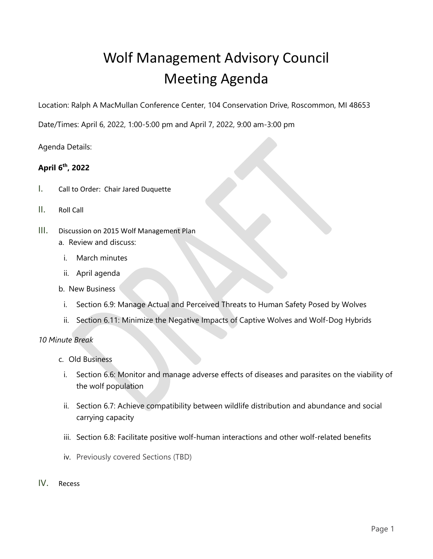# Wolf Management Advisory Council Meeting Agenda

Location: Ralph A MacMullan Conference Center, 104 Conservation Drive, Roscommon, MI 48653

Date/Times: April 6, 2022, 1:00-5:00 pm and April 7, 2022, 9:00 am-3:00 pm

Agenda Details:

## **April 6th, 2022**

- I. Call to Order: Chair Jared Duquette
- II. Roll Call
- III. Discussion on 2015 Wolf Management Plan a. Review and discuss:
	- i. March minutes
	- ii. April agenda
	- b. New Business
		- i. Section 6.9: Manage Actual and Perceived Threats to Human Safety Posed by Wolves
		- ii. Section 6.11: Minimize the Negative Impacts of Captive Wolves and Wolf-Dog Hybrids

## *10 Minute Break*

- c. Old Business
	- i. Section 6.6: Monitor and manage adverse effects of diseases and parasites on the viability of the wolf population
	- ii. Section 6.7: Achieve compatibility between wildlife distribution and abundance and social carrying capacity
	- iii. Section 6.8: Facilitate positive wolf-human interactions and other wolf-related benefits
	- iv. Previously covered Sections (TBD)
- IV. Recess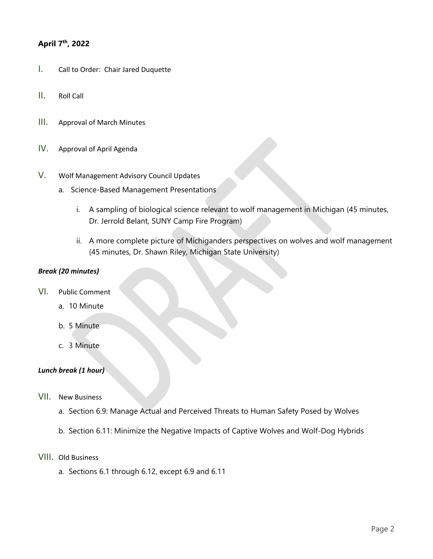## **April 7th, 2022**

- I. Call to Order: Chair Jared Duquette
- II. Roll Call
- III. Approval of March Minutes
- IV. Approval of April Agenda
- V. Wolf Management Advisory Council Updates
	- a. Science-Based Management Presentations
		- i. A sampling of biological science relevant to wolf management in Michigan (45 minutes, Dr. Jerrold Belant, SUNY Camp Fire Program)
		- ii. A more complete picture of Michiganders perspectives on wolves and wolf management (45 minutes, Dr. Shawn Riley, Michigan State University)

## *Break (20 minutes)*

- VI. Public Comment
	- a. 10 Minute
	- b. 5 Minute
	- c. 3 Minute

## *Lunch break (1 hour)*

- VII. New Business
	- a. Section 6.9: Manage Actual and Perceived Threats to Human Safety Posed by Wolves
	- b. Section 6.11: Minimize the Negative Impacts of Captive Wolves and Wolf-Dog Hybrids
- VIII. Old Business
	- a. Sections 6.1 through 6.12, except 6.9 and 6.11